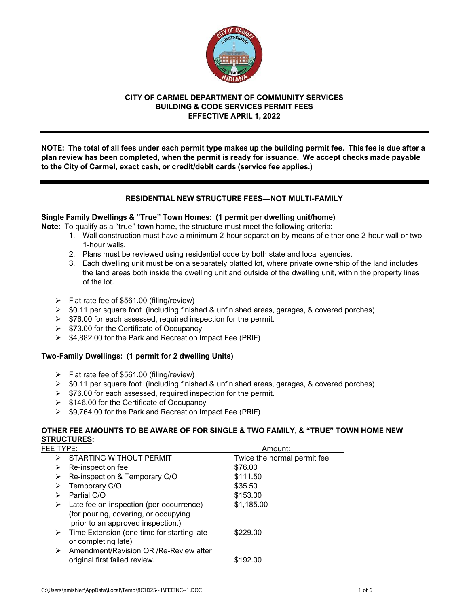

# **CITY OF CARMEL DEPARTMENT OF COMMUNITY SERVICES BUILDING & CODE SERVICES PERMIT FEES EFFECTIVE APRIL 1, 2022**

**NOTE: The total of all fees under each permit type makes up the building permit fee. This fee is due after a plan review has been completed, when the permit is ready for issuance. We accept checks made payable to the City of Carmel, exact cash, or credit/debit cards (service fee applies.)**

# **RESIDENTIAL NEW STRUCTURE FEES—NOT MULTI-FAMILY**

# **Single Family Dwellings & "True" Town Homes: (1 permit per dwelling unit/home)**

**Note:** To qualify as a "true" town home, the structure must meet the following criteria:

- 1. Wall construction must have a minimum 2-hour separation by means of either one 2-hour wall or two 1-hour walls.
- 2. Plans must be reviewed using residential code by both state and local agencies.
- 3. Each dwelling unit must be on a separately platted lot, where private ownership of the land includes the land areas both inside the dwelling unit and outside of the dwelling unit, within the property lines of the lot.
- ➢ Flat rate fee of \$561.00 (filing/review)
- ➢ \$0.11 per square foot (including finished & unfinished areas, garages, & covered porches)
- ➢ \$76.00 for each assessed, required inspection for the permit.
- ➢ \$73.00 for the Certificate of Occupancy
- ➢ \$4,882.00 for the Park and Recreation Impact Fee (PRIF)

# **Two-Family Dwellings: (1 permit for 2 dwelling Units)**

- ➢ Flat rate fee of \$561.00 (filing/review)
- $\triangleright$  \$0.11 per square foot (including finished & unfinished areas, garages, & covered porches)
- $\geq$  \$76.00 for each assessed, required inspection for the permit.
- $\triangleright$  \$146.00 for the Certificate of Occupancy
- ➢ \$9,764.00 for the Park and Recreation Impact Fee (PRIF)

# **OTHER FEE AMOUNTS TO BE AWARE OF FOR SINGLE & TWO FAMILY, & "TRUE" TOWN HOME NEW STRUCTURES:**

| FEE TYPE: |                                                                                                                      | Amount:                     |  |
|-----------|----------------------------------------------------------------------------------------------------------------------|-----------------------------|--|
| ⋗         | <b>STARTING WITHOUT PERMIT</b>                                                                                       | Twice the normal permit fee |  |
| ⋗         | Re-inspection fee                                                                                                    | \$76.00                     |  |
| ⋗         | Re-inspection & Temporary C/O                                                                                        | \$111.50                    |  |
|           | Temporary C/O                                                                                                        | \$35.50                     |  |
|           | Partial C/O                                                                                                          | \$153.00                    |  |
| ➤         | Late fee on inspection (per occurrence)<br>(for pouring, covering, or occupying<br>prior to an approved inspection.) | \$1,185.00                  |  |
|           | $\triangleright$ Time Extension (one time for starting late<br>or completing late)                                   | \$229.00                    |  |
| ➤         | Amendment/Revision OR /Re-Review after<br>original first failed review.                                              | \$192.00                    |  |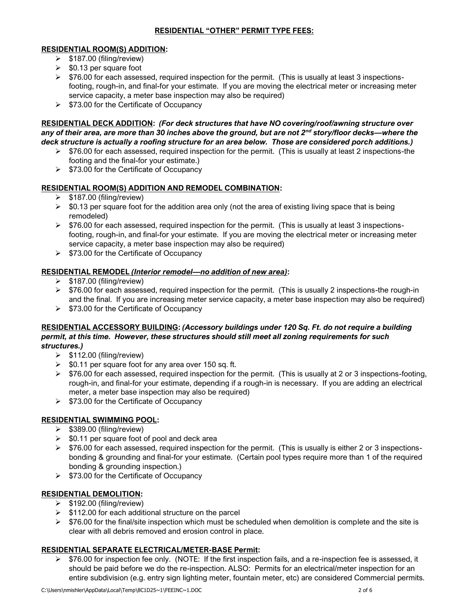# **RESIDENTIAL "OTHER" PERMIT TYPE FEES:**

### **RESIDENTIAL ROOM(S) ADDITION:**

- $\geq$  \$187.00 (filing/review)
- $\geq$  \$0.13 per square foot
- $\triangleright$  \$76.00 for each assessed, required inspection for the permit. (This is usually at least 3 inspectionsfooting, rough-in, and final-for your estimate. If you are moving the electrical meter or increasing meter service capacity, a meter base inspection may also be required)
- ➢ \$73.00 for the Certificate of Occupancy

**RESIDENTIAL DECK ADDITION:** *(For deck structures that have NO covering/roof/awning structure over any of their area, are more than 30 inches above the ground, but are not 2nd story/floor decks—where the deck structure is actually a roofing structure for an area below. Those are considered porch additions.)*

- $\triangleright$  \$76.00 for each assessed, required inspection for the permit. (This is usually at least 2 inspections-the footing and the final-for your estimate.)
- ➢ \$73.00 for the Certificate of Occupancy

# **RESIDENTIAL ROOM(S) ADDITION AND REMODEL COMBINATION:**

- ➢ \$187.00 (filing/review)
- ➢ \$0.13 per square foot for the addition area only (not the area of existing living space that is being remodeled)
- $\triangleright$  \$76.00 for each assessed, required inspection for the permit. (This is usually at least 3 inspectionsfooting, rough-in, and final-for your estimate. If you are moving the electrical meter or increasing meter service capacity, a meter base inspection may also be required)
- ➢ \$73.00 for the Certificate of Occupancy

## **RESIDENTIAL REMODEL** *(Interior remodel—no addition of new area)***:**

- $\geq$  \$187.00 (filing/review)
- $\triangleright$  \$76.00 for each assessed, required inspection for the permit. (This is usually 2 inspections-the rough-in and the final. If you are increasing meter service capacity, a meter base inspection may also be required)
- $\triangleright$  \$73.00 for the Certificate of Occupancy

# **RESIDENTIAL ACCESSORY BUILDING:** *(Accessory buildings under 120 Sq. Ft. do not require a building permit, at this time. However, these structures should still meet all zoning requirements for such structures.)*

- $\geq$  \$112.00 (filing/review)
- $\ge$  \$0.11 per square foot for any area over 150 sq. ft.
- $\triangleright$  \$76.00 for each assessed, required inspection for the permit. (This is usually at 2 or 3 inspections-footing, rough-in, and final-for your estimate, depending if a rough-in is necessary. If you are adding an electrical meter, a meter base inspection may also be required)
- ➢ \$73.00 for the Certificate of Occupancy

# **RESIDENTIAL SWIMMING POOL:**

- ➢ \$389.00 (filing/review)
- $\ge$  \$0.11 per square foot of pool and deck area
- $\triangleright$  \$76.00 for each assessed, required inspection for the permit. (This is usually is either 2 or 3 inspectionsbonding & grounding and final-for your estimate. (Certain pool types require more than 1 of the required bonding & grounding inspection.)
- ➢ \$73.00 for the Certificate of Occupancy

### **RESIDENTIAL DEMOLITION:**

- $\geq$  \$192.00 (filing/review)
- ➢ \$112.00 for each additional structure on the parcel
- $\triangleright$  \$76.00 for the final/site inspection which must be scheduled when demolition is complete and the site is clear with all debris removed and erosion control in place.

# **RESIDENTIAL SEPARATE ELECTRICAL/METER-BASE Permit:**

 $\triangleright$  \$76.00 for inspection fee only. (NOTE: If the first inspection fails, and a re-inspection fee is assessed, it should be paid before we do the re-inspection. ALSO: Permits for an electrical/meter inspection for an entire subdivision (e.g. entry sign lighting meter, fountain meter, etc) are considered Commercial permits.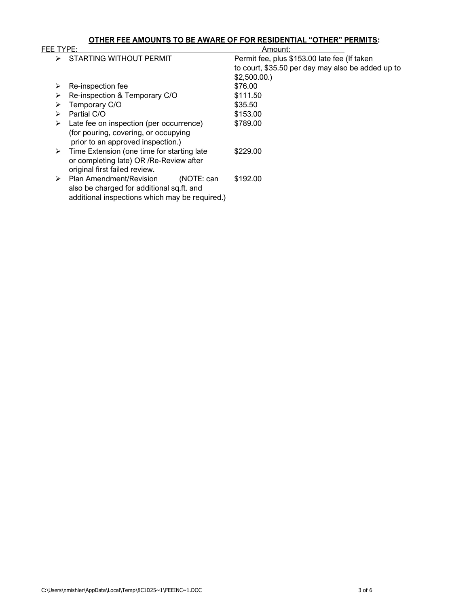### **OTHER FEE AMOUNTS TO BE AWARE OF FOR RESIDENTIAL "OTHER" PERMITS:**

| FEE TYPE:                                       |            | Amount:                                           |  |
|-------------------------------------------------|------------|---------------------------------------------------|--|
| <b>STARTING WITHOUT PERMIT</b>                  |            | Permit fee, plus \$153.00 late fee (If taken      |  |
|                                                 |            | to court, \$35.50 per day may also be added up to |  |
|                                                 |            | \$2,500.00.                                       |  |
| Re-inspection fee<br>➤                          |            | \$76.00                                           |  |
| Re-inspection & Temporary C/O<br>⋗              |            | \$111.50                                          |  |
| Temporary C/O                                   |            | \$35.50                                           |  |
| Partial C/O<br>➤                                |            | \$153.00                                          |  |
| Late fee on inspection (per occurrence)<br>➤    |            | \$789.00                                          |  |
| (for pouring, covering, or occupying            |            |                                                   |  |
| prior to an approved inspection.)               |            |                                                   |  |
| Time Extension (one time for starting late<br>➤ |            | \$229.00                                          |  |
| or completing late) OR /Re-Review after         |            |                                                   |  |
| original first failed review.                   |            |                                                   |  |
| Plan Amendment/Revision                         | (NOTE: can | \$192.00                                          |  |
| also be charged for additional sq.ft. and       |            |                                                   |  |
| additional inspections which may be required.)  |            |                                                   |  |
|                                                 |            |                                                   |  |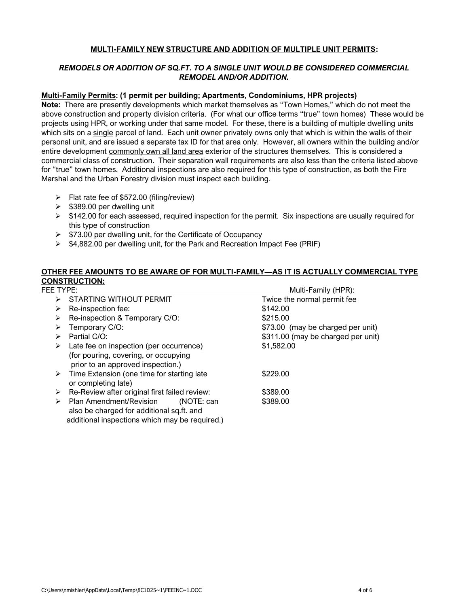### **MULTI-FAMILY NEW STRUCTURE AND ADDITION OF MULTIPLE UNIT PERMITS:**

# *REMODELS OR ADDITION OF SQ.FT. TO A SINGLE UNIT WOULD BE CONSIDERED COMMERCIAL REMODEL AND/OR ADDITION.*

#### **Multi-Family Permits: (1 permit per building; Apartments, Condominiums, HPR projects)**

**Note:** There are presently developments which market themselves as "Town Homes," which do not meet the above construction and property division criteria. (For what our office terms "true" town homes) These would be projects using HPR, or working under that same model. For these, there is a building of multiple dwelling units which sits on a single parcel of land. Each unit owner privately owns only that which is within the walls of their personal unit, and are issued a separate tax ID for that area only. However, all owners within the building and/or entire development commonly own all land area exterior of the structures themselves. This is considered a commercial class of construction. Their separation wall requirements are also less than the criteria listed above for "true" town homes. Additional inspections are also required for this type of construction, as both the Fire Marshal and the Urban Forestry division must inspect each building.

- ➢ Flat rate fee of \$572.00 (filing/review)
- ➢ \$389.00 per dwelling unit
- $\triangleright$  \$142.00 for each assessed, required inspection for the permit. Six inspections are usually required for this type of construction
- ➢ \$73.00 per dwelling unit, for the Certificate of Occupancy
- ➢ \$4,882.00 per dwelling unit, for the Park and Recreation Impact Fee (PRIF)

# **OTHER FEE AMOUNTS TO BE AWARE OF FOR MULTI-FAMILY—AS IT IS ACTUALLY COMMERCIAL TYPE CONSTRUCTION:**

| FEE TYPE:                                                                          | Multi-Family (HPR):                |  |
|------------------------------------------------------------------------------------|------------------------------------|--|
| STARTING WITHOUT PERMIT<br>➤                                                       | Twice the normal permit fee        |  |
| Re-inspection fee:<br>⋗                                                            | \$142.00                           |  |
| Re-inspection & Temporary C/O:<br>➤                                                | \$215.00                           |  |
| Temporary C/O:<br>⋗                                                                | \$73.00 (may be charged per unit)  |  |
| Partial C/O:<br>⋗                                                                  | \$311.00 (may be charged per unit) |  |
| Late fee on inspection (per occurrence)<br>➤                                       | \$1,582.00                         |  |
| (for pouring, covering, or occupying<br>prior to an approved inspection.)          |                                    |  |
| $\triangleright$ Time Extension (one time for starting late<br>or completing late) | \$229.00                           |  |
| Re-Review after original first failed review:<br>➤                                 | \$389.00                           |  |
| $\triangleright$ Plan Amendment/Revision<br>(NOTE: can                             | \$389.00                           |  |
| also be charged for additional sq.ft. and                                          |                                    |  |
| additional inspections which may be required.)                                     |                                    |  |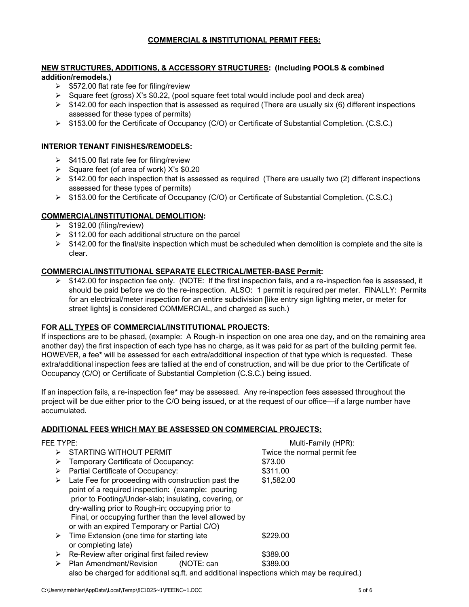# **COMMERCIAL & INSTITUTIONAL PERMIT FEES:**

#### **NEW STRUCTURES, ADDITIONS, & ACCESSORY STRUCTURES: (Including POOLS & combined addition/remodels.)**

- $\geq$  \$572.00 flat rate fee for filing/review
- $\triangleright$  Square feet (gross) X's \$0.22, (pool square feet total would include pool and deck area)
- $\triangleright$  \$142.00 for each inspection that is assessed as required (There are usually six (6) different inspections assessed for these types of permits)
- ➢ \$153.00 for the Certificate of Occupancy (C/O) or Certificate of Substantial Completion. (C.S.C.)

# **INTERIOR TENANT FINISHES/REMODELS:**

- $\geq$  \$415.00 flat rate fee for filing/review
- $\geq$  Square feet (of area of work) X's \$0.20
- $\triangleright$  \$142.00 for each inspection that is assessed as required (There are usually two (2) different inspections assessed for these types of permits)
- ➢ \$153.00 for the Certificate of Occupancy (C/O) or Certificate of Substantial Completion. (C.S.C.)

### **COMMERCIAL/INSTITUTIONAL DEMOLITION:**

- $\geq$  \$192.00 (filing/review)
- $\geq$  \$112.00 for each additional structure on the parcel
- $\triangleright$  \$142.00 for the final/site inspection which must be scheduled when demolition is complete and the site is clear.

#### **COMMERCIAL/INSTITUTIONAL SEPARATE ELECTRICAL/METER-BASE Permit:**

➢ \$142.00 for inspection fee only. (NOTE: If the first inspection fails, and a re-inspection fee is assessed, it should be paid before we do the re-inspection. ALSO: 1 permit is required per meter. FINALLY: Permits for an electrical/meter inspection for an entire subdivision [like entry sign lighting meter, or meter for street lights] is considered COMMERCIAL, and charged as such.)

#### **FOR ALL TYPES OF COMMERCIAL/INSTITUTIONAL PROJECTS**:

If inspections are to be phased, (example: A Rough-in inspection on one area one day, and on the remaining area another day) the first inspection of each type has no charge, as it was paid for as part of the building permit fee. HOWEVER, a fee**\*** will be assessed for each extra/additional inspection of that type which is requested. These extra/additional inspection fees are tallied at the end of construction, and will be due prior to the Certificate of Occupancy (C/O) or Certificate of Substantial Completion (C.S.C.) being issued.

If an inspection fails, a re-inspection fee**\*** may be assessed. Any re-inspection fees assessed throughout the project will be due either prior to the C/O being issued, or at the request of our office—if a large number have accumulated.

#### **ADDITIONAL FEES WHICH MAY BE ASSESSED ON COMMERCIAL PROJECTS:**

| FEE TYPE: |                                                                                                                                                                                                                                                                                                                                | Multi-Family (HPR):         |  |  |
|-----------|--------------------------------------------------------------------------------------------------------------------------------------------------------------------------------------------------------------------------------------------------------------------------------------------------------------------------------|-----------------------------|--|--|
| ⋗         | <b>STARTING WITHOUT PERMIT</b>                                                                                                                                                                                                                                                                                                 | Twice the normal permit fee |  |  |
| ⋗         | Temporary Certificate of Occupancy:                                                                                                                                                                                                                                                                                            | \$73.00                     |  |  |
| ⋗         | Partial Certificate of Occupancy:                                                                                                                                                                                                                                                                                              | \$311.00                    |  |  |
| ➤         | Late Fee for proceeding with construction past the<br>point of a required inspection: (example: pouring<br>prior to Footing/Under-slab; insulating, covering, or<br>dry-walling prior to Rough-in; occupying prior to<br>Final, or occupying further than the level allowed by<br>or with an expired Temporary or Partial C/O) | \$1,582.00                  |  |  |
| ➤         | Time Extension (one time for starting late<br>or completing late)                                                                                                                                                                                                                                                              | \$229.00                    |  |  |
| ⋗         | Re-Review after original first failed review                                                                                                                                                                                                                                                                                   | \$389.00                    |  |  |
|           | Plan Amendment/Revision<br>(NOTE: can                                                                                                                                                                                                                                                                                          | \$389.00                    |  |  |
|           | also be charged for additional sq.ft. and additional inspections which may be required.)                                                                                                                                                                                                                                       |                             |  |  |